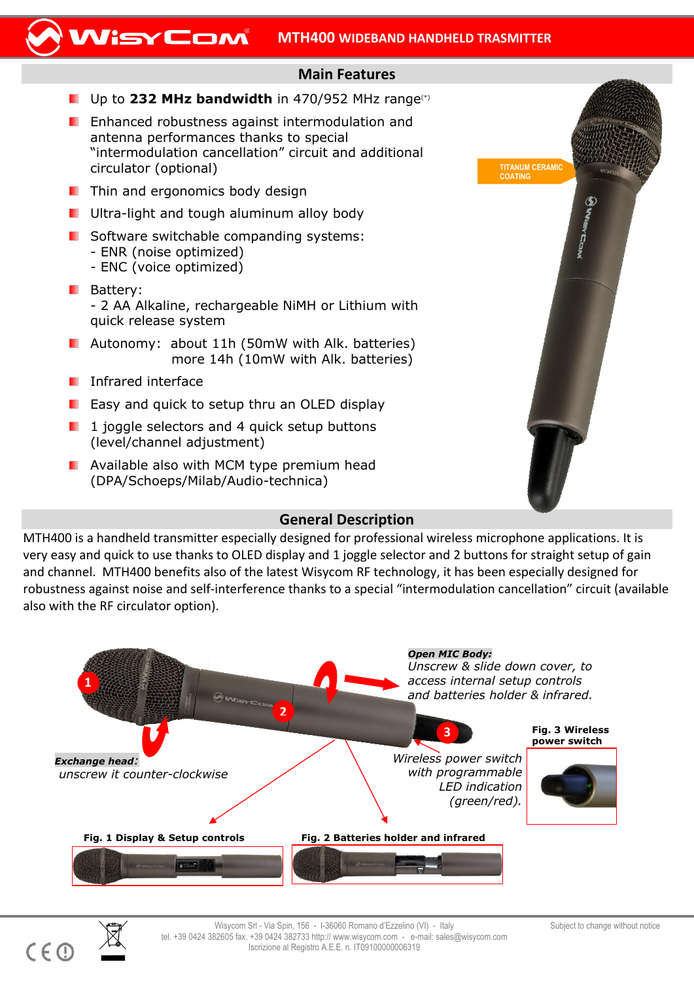#### WisyCom **MTH400 WIDEBAND HANDHELD TRASMITTER**

## **Main Features**

- Up to **232 MHz bandwidth** in 470/952 MHz range(\*)
- **E** Enhanced robustness against intermodulation and antenna performances thanks to special "intermodulation cancellation" circuit and additional circulator (optional)
- $\blacksquare$  Thin and ergonomics body design
- **U** Ultra-light and tough aluminum alloy body
- **Software switchable companding systems:** 
	- ENR (noise optimized)
	- ENC (voice optimized)
- **Battery:** - 2 AA Alkaline, rechargeable NiMH or Lithium with quick release system
- **Autonomy: about 11h (50mW with Alk. batteries)** more 14h (10mW with Alk. batteries)
- **I** Infrared interface
- **E** Easy and quick to setup thru an OLED display
- $\blacksquare$  1 joggle selectors and 4 quick setup buttons (level/channel adjustment)
- **Available also with MCM type premium head** (DPA/Schoeps/Milab/Audio-technica)



# **General Description**

MTH400 is a handheld transmitter especially designed for professional wireless microphone applications. It is very easy and quick to use thanks to OLED display and 1 joggle selector and 2 buttons for straight setup of gain and channel. MTH400 benefits also of the latest Wisycom RF technology, it has been especially designed for robustness against noise and self-interference thanks to a special "intermodulation cancellation" circuit (available also with the RF circulator option).





 $C \in \mathbb{C}$